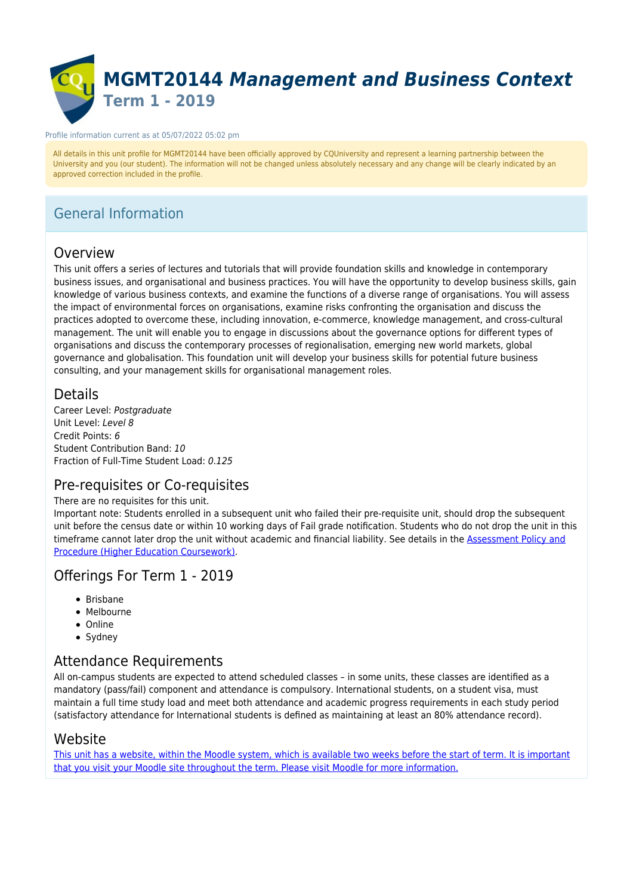

#### Profile information current as at 05/07/2022 05:02 pm

All details in this unit profile for MGMT20144 have been officially approved by CQUniversity and represent a learning partnership between the University and you (our student). The information will not be changed unless absolutely necessary and any change will be clearly indicated by an approved correction included in the profile.

## General Information

### Overview

This unit offers a series of lectures and tutorials that will provide foundation skills and knowledge in contemporary business issues, and organisational and business practices. You will have the opportunity to develop business skills, gain knowledge of various business contexts, and examine the functions of a diverse range of organisations. You will assess the impact of environmental forces on organisations, examine risks confronting the organisation and discuss the practices adopted to overcome these, including innovation, e-commerce, knowledge management, and cross-cultural management. The unit will enable you to engage in discussions about the governance options for different types of organisations and discuss the contemporary processes of regionalisation, emerging new world markets, global governance and globalisation. This foundation unit will develop your business skills for potential future business consulting, and your management skills for organisational management roles.

### **Details**

Career Level: Postgraduate Unit Level: Level 8 Credit Points: 6 Student Contribution Band: 10 Fraction of Full-Time Student Load: 0.125

### Pre-requisites or Co-requisites

### There are no requisites for this unit.

Important note: Students enrolled in a subsequent unit who failed their pre-requisite unit, should drop the subsequent unit before the census date or within 10 working days of Fail grade notification. Students who do not drop the unit in this timeframe cannot later drop the unit without academic and financial liability. See details in the **Assessment Policy and** [Procedure \(Higher Education Coursework\)](https://www.cqu.edu.au/policy).

### Offerings For Term 1 - 2019

- $\bullet$  Brisbane
- Melbourne
- Online
- Sydney

## Attendance Requirements

All on-campus students are expected to attend scheduled classes – in some units, these classes are identified as a mandatory (pass/fail) component and attendance is compulsory. International students, on a student visa, must maintain a full time study load and meet both attendance and academic progress requirements in each study period (satisfactory attendance for International students is defined as maintaining at least an 80% attendance record).

### Website

[This unit has a website, within the Moodle system, which is available two weeks before the start of term. It is important](https://moodle.cqu.edu.au) [that you visit your Moodle site throughout the term. Please visit Moodle for more information.](https://moodle.cqu.edu.au)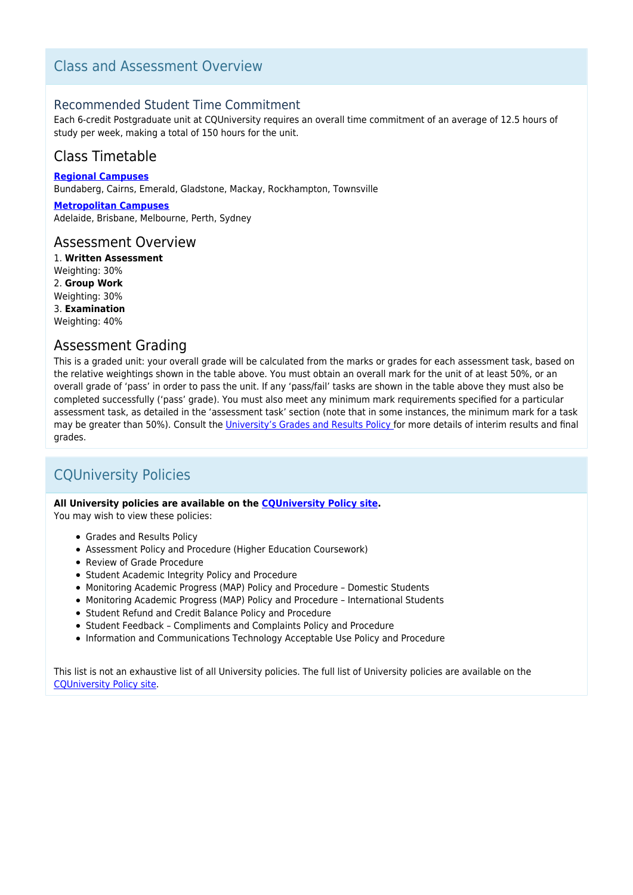### Class and Assessment Overview

### Recommended Student Time Commitment

Each 6-credit Postgraduate unit at CQUniversity requires an overall time commitment of an average of 12.5 hours of study per week, making a total of 150 hours for the unit.

## Class Timetable

**[Regional Campuses](https://handbook.cqu.edu.au/facet/timetables)** Bundaberg, Cairns, Emerald, Gladstone, Mackay, Rockhampton, Townsville

**[Metropolitan Campuses](https://handbook.cqu.edu.au/facet/timetables)** Adelaide, Brisbane, Melbourne, Perth, Sydney

### Assessment Overview

1. **Written Assessment** Weighting: 30% 2. **Group Work** Weighting: 30% 3. **Examination** Weighting: 40%

### Assessment Grading

This is a graded unit: your overall grade will be calculated from the marks or grades for each assessment task, based on the relative weightings shown in the table above. You must obtain an overall mark for the unit of at least 50%, or an overall grade of 'pass' in order to pass the unit. If any 'pass/fail' tasks are shown in the table above they must also be completed successfully ('pass' grade). You must also meet any minimum mark requirements specified for a particular assessment task, as detailed in the 'assessment task' section (note that in some instances, the minimum mark for a task may be greater than 50%). Consult the *University's Grades and Results Policy* for more details of interim results and final grades.

## CQUniversity Policies

### **All University policies are available on the [CQUniversity Policy site.](https://policy.cqu.edu.au/)**

You may wish to view these policies:

- Grades and Results Policy
- Assessment Policy and Procedure (Higher Education Coursework)
- Review of Grade Procedure
- Student Academic Integrity Policy and Procedure
- Monitoring Academic Progress (MAP) Policy and Procedure Domestic Students
- Monitoring Academic Progress (MAP) Policy and Procedure International Students
- Student Refund and Credit Balance Policy and Procedure
- Student Feedback Compliments and Complaints Policy and Procedure
- Information and Communications Technology Acceptable Use Policy and Procedure

This list is not an exhaustive list of all University policies. The full list of University policies are available on the [CQUniversity Policy site.](https://policy.cqu.edu.au/)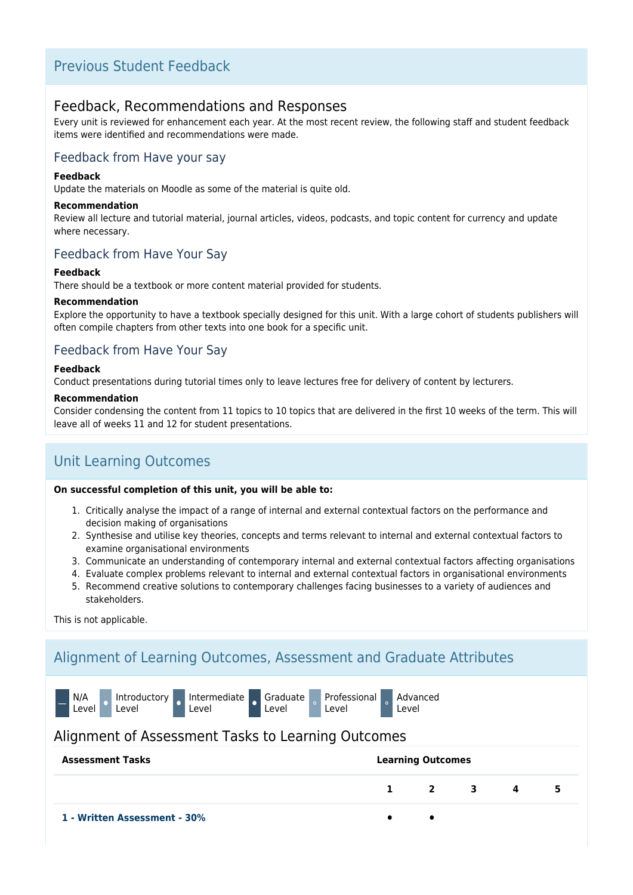### Previous Student Feedback

### Feedback, Recommendations and Responses

Every unit is reviewed for enhancement each year. At the most recent review, the following staff and student feedback items were identified and recommendations were made.

### Feedback from Have your say

### **Feedback**

Update the materials on Moodle as some of the material is quite old.

#### **Recommendation**

Review all lecture and tutorial material, journal articles, videos, podcasts, and topic content for currency and update where necessary.

### Feedback from Have Your Say

### **Feedback**

There should be a textbook or more content material provided for students.

### **Recommendation**

Explore the opportunity to have a textbook specially designed for this unit. With a large cohort of students publishers will often compile chapters from other texts into one book for a specific unit.

### Feedback from Have Your Say

#### **Feedback**

Conduct presentations during tutorial times only to leave lectures free for delivery of content by lecturers.

#### **Recommendation**

Consider condensing the content from 11 topics to 10 topics that are delivered in the first 10 weeks of the term. This will leave all of weeks 11 and 12 for student presentations.

## Unit Learning Outcomes

#### **On successful completion of this unit, you will be able to:**

- 1. Critically analyse the impact of a range of internal and external contextual factors on the performance and decision making of organisations
- 2. Synthesise and utilise key theories, concepts and terms relevant to internal and external contextual factors to examine organisational environments
- 3. Communicate an understanding of contemporary internal and external contextual factors affecting organisations
- 4. Evaluate complex problems relevant to internal and external contextual factors in organisational environments
- 5. Recommend creative solutions to contemporary challenges facing businesses to a variety of audiences and stakeholders.

This is not applicable.

## Alignment of Learning Outcomes, Assessment and Graduate Attributes

| N/A<br>Level | ' Level | Introductory Intermediate Graduate<br>Level | Level |  |
|--------------|---------|---------------------------------------------|-------|--|
|              |         |                                             |       |  |

### Alignment of Assessment Tasks to Learning Outcomes

| <b>Assessment Tasks</b>      | <b>Learning Outcomes</b>    |  |   |  |
|------------------------------|-----------------------------|--|---|--|
|                              | $1 \quad 2 \quad 3 \quad 4$ |  | 5 |  |
| 1 - Written Assessment - 30% |                             |  |   |  |

Professional Level ⚬

Advanced Level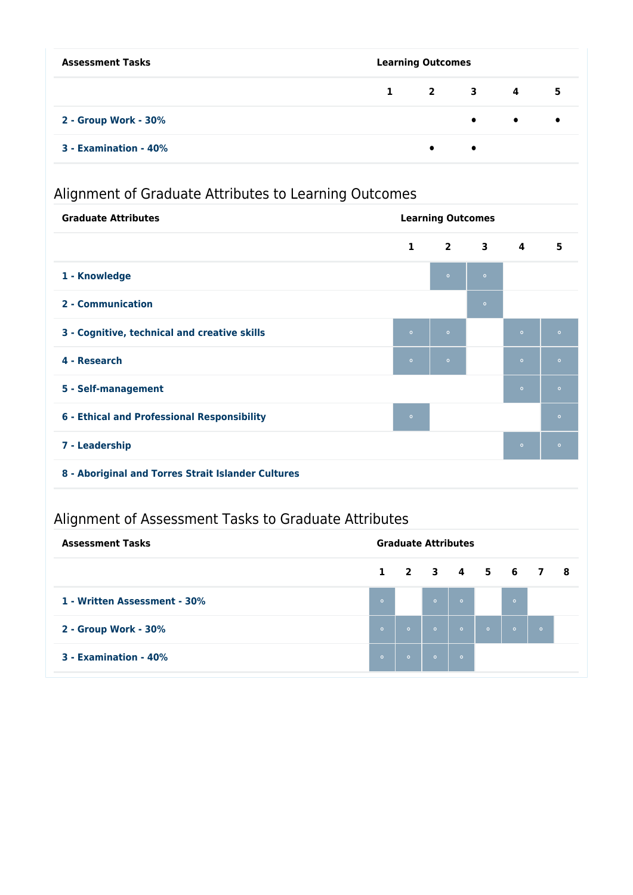| <b>Assessment Tasks</b> | <b>Learning Outcomes</b> |           |           |                               |           |  |  |
|-------------------------|--------------------------|-----------|-----------|-------------------------------|-----------|--|--|
|                         |                          |           |           | $1 \quad 2 \quad 3 \quad 4$   | 5         |  |  |
| 2 - Group Work - 30%    |                          |           |           | $\bullet$ $\bullet$ $\bullet$ | $\bullet$ |  |  |
| 3 - Examination - 40%   |                          | $\bullet$ | $\bullet$ |                               |           |  |  |

# Alignment of Graduate Attributes to Learning Outcomes

| <b>Graduate Attributes</b>                   | <b>Learning Outcomes</b> |            |                         |                         |         |
|----------------------------------------------|--------------------------|------------|-------------------------|-------------------------|---------|
|                                              | $\mathbf{1}$             | $2^{\sim}$ | $\overline{\mathbf{3}}$ | $\overline{\mathbf{4}}$ | 5       |
| 1 - Knowledge                                |                          | $\circ$    | $\circ$                 |                         |         |
| 2 - Communication                            |                          |            | $\bullet$               |                         |         |
| 3 - Cognitive, technical and creative skills | $\circ$                  | $\circ$    |                         | $\circ$                 | $\circ$ |
| 4 - Research                                 | $\circ$                  | $\circ$    |                         | $\circ$                 | $\circ$ |
| 5 - Self-management                          |                          |            |                         | $\circ$                 | $\circ$ |
| 6 - Ethical and Professional Responsibility  | $\circ$                  |            |                         |                         | $\circ$ |
| 7 - Leadership                               |                          |            |                         | $\bullet$               | $\circ$ |
|                                              |                          |            |                         |                         |         |

**8 - Aboriginal and Torres Strait Islander Cultures**

# Alignment of Assessment Tasks to Graduate Attributes

| <b>Assessment Tasks</b>      |         | <b>Graduate Attributes</b> |         |         |         |          |          |  |
|------------------------------|---------|----------------------------|---------|---------|---------|----------|----------|--|
|                              |         | $1$ 2 3 4 5 6 7 8          |         |         |         |          |          |  |
| 1 - Written Assessment - 30% | $\circ$ |                            | $\circ$ | $\circ$ |         | $\sim$ 0 |          |  |
| 2 - Group Work - 30%         | $\circ$ | $\circ$                    | $\circ$ | $\circ$ | $\circ$ | $\circ$  | $\sim$ 0 |  |
| 3 - Examination - 40%        | $\circ$ | $\circ$                    | $\circ$ | $\circ$ |         |          |          |  |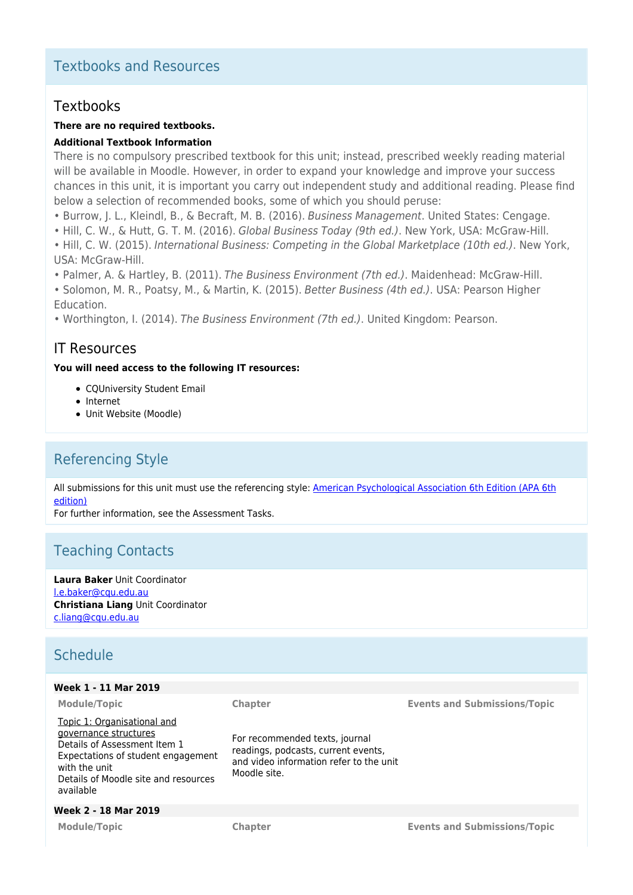## Textbooks and Resources

### Textbooks

### **There are no required textbooks.**

### **Additional Textbook Information**

There is no compulsory prescribed textbook for this unit; instead, prescribed weekly reading material will be available in Moodle. However, in order to expand your knowledge and improve your success chances in this unit, it is important you carry out independent study and additional reading. Please find below a selection of recommended books, some of which you should peruse:

- Burrow, J. L., Kleindl, B., & Becraft, M. B. (2016). Business Management. United States: Cengage.
- Hill, C. W., & Hutt, G. T. M. (2016). Global Business Today (9th ed.). New York, USA: McGraw-Hill.
- Hill, C. W. (2015). International Business: Competing in the Global Marketplace (10th ed.). New York, USA: McGraw-Hill.
- Palmer, A. & Hartley, B. (2011). The Business Environment (7th ed.). Maidenhead: McGraw-Hill.

• Solomon, M. R., Poatsy, M., & Martin, K. (2015). Better Business (4th ed.). USA: Pearson Higher Education.

• Worthington, I. (2014). The Business Environment (7th ed.). United Kingdom: Pearson.

### IT Resources

### **You will need access to the following IT resources:**

- CQUniversity Student Email
- Internet
- Unit Website (Moodle)

## Referencing Style

All submissions for this unit must use the referencing style: [American Psychological Association 6th Edition \(APA 6th](https://sportal.cqu.edu.au/__data/assets/pdf_file/0026/107684/APA_Referencing_Guide-2019.pdf) [edition\)](https://sportal.cqu.edu.au/__data/assets/pdf_file/0026/107684/APA_Referencing_Guide-2019.pdf)

> For recommended texts, journal readings, podcasts, current events, and video information refer to the unit

For further information, see the Assessment Tasks.

### Teaching Contacts

**Laura Baker** Unit Coordinator [l.e.baker@cqu.edu.au](mailto:l.e.baker@cqu.edu.au) **Christiana Liang** Unit Coordinator [c.liang@cqu.edu.au](mailto:c.liang@cqu.edu.au)

### Schedule

### **Week 1 - 11 Mar 2019**

Topic 1: Organisational and governance structures Details of Assessment Item 1 Expectations of student engagement with the unit Details of Moodle site and resources available

### **Week 2 - 18 Mar 2019**

Moodle site.

**Module/Topic Chapter Events and Submissions/Topic**

**Module/Topic Chapter Events and Submissions/Topic**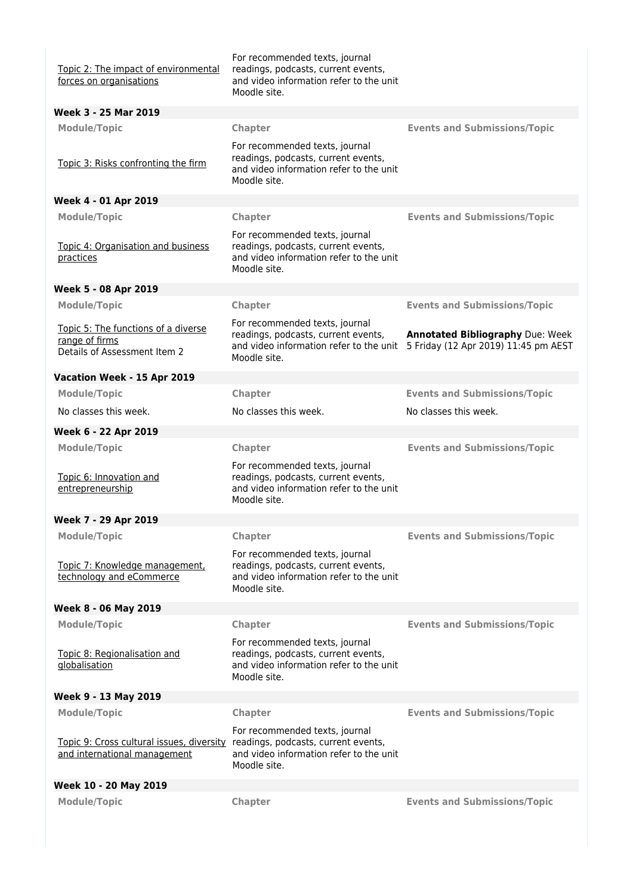| Topic 2: The impact of environmental<br>forces on organisations                       | For recommended texts, journal<br>readings, podcasts, current events,<br>and video information refer to the unit<br>Moodle site. |                                                                                 |
|---------------------------------------------------------------------------------------|----------------------------------------------------------------------------------------------------------------------------------|---------------------------------------------------------------------------------|
| Week 3 - 25 Mar 2019                                                                  |                                                                                                                                  |                                                                                 |
| <b>Module/Topic</b>                                                                   | Chapter                                                                                                                          | <b>Events and Submissions/Topic</b>                                             |
| Topic 3: Risks confronting the firm                                                   | For recommended texts, journal<br>readings, podcasts, current events,<br>and video information refer to the unit<br>Moodle site. |                                                                                 |
| Week 4 - 01 Apr 2019                                                                  |                                                                                                                                  |                                                                                 |
| <b>Module/Topic</b>                                                                   | Chapter                                                                                                                          | <b>Events and Submissions/Topic</b>                                             |
| Topic 4: Organisation and business<br>practices                                       | For recommended texts, journal<br>readings, podcasts, current events,<br>and video information refer to the unit<br>Moodle site. |                                                                                 |
| Week 5 - 08 Apr 2019                                                                  |                                                                                                                                  |                                                                                 |
| <b>Module/Topic</b>                                                                   | Chapter                                                                                                                          | <b>Events and Submissions/Topic</b>                                             |
| Topic 5: The functions of a diverse<br>range of firms<br>Details of Assessment Item 2 | For recommended texts, journal<br>readings, podcasts, current events,<br>and video information refer to the unit<br>Moodle site. | <b>Annotated Bibliography Due: Week</b><br>5 Friday (12 Apr 2019) 11:45 pm AEST |
| Vacation Week - 15 Apr 2019                                                           |                                                                                                                                  |                                                                                 |
| <b>Module/Topic</b>                                                                   | Chapter                                                                                                                          | <b>Events and Submissions/Topic</b>                                             |
| No classes this week.                                                                 | No classes this week.                                                                                                            | No classes this week.                                                           |
| Week 6 - 22 Apr 2019                                                                  |                                                                                                                                  |                                                                                 |
| <b>Module/Topic</b>                                                                   | Chapter                                                                                                                          | <b>Events and Submissions/Topic</b>                                             |
| Topic 6: Innovation and<br>entrepreneurship                                           | For recommended texts, journal<br>readings, podcasts, current events,<br>and video information refer to the unit<br>Moodle site. |                                                                                 |
| Week 7 - 29 Apr 2019                                                                  |                                                                                                                                  |                                                                                 |
| <b>Module/Topic</b>                                                                   | Chapter                                                                                                                          | <b>Events and Submissions/Topic</b>                                             |
| Topic 7: Knowledge management,<br>technology and eCommerce                            | For recommended texts, journal<br>readings, podcasts, current events,<br>and video information refer to the unit<br>Moodle site. |                                                                                 |
| Week 8 - 06 May 2019                                                                  |                                                                                                                                  |                                                                                 |
| <b>Module/Topic</b>                                                                   | Chapter                                                                                                                          | <b>Events and Submissions/Topic</b>                                             |
| Topic 8: Regionalisation and<br>globalisation                                         | For recommended texts, journal<br>readings, podcasts, current events,<br>and video information refer to the unit<br>Moodle site. |                                                                                 |
| Week 9 - 13 May 2019                                                                  |                                                                                                                                  |                                                                                 |
| <b>Module/Topic</b>                                                                   | Chapter                                                                                                                          | <b>Events and Submissions/Topic</b>                                             |
| Topic 9: Cross cultural issues, diversity<br>and international management             | For recommended texts, journal<br>readings, podcasts, current events,<br>and video information refer to the unit<br>Moodle site. |                                                                                 |
| Week 10 - 20 May 2019                                                                 |                                                                                                                                  |                                                                                 |
| <b>Module/Topic</b>                                                                   | Chapter                                                                                                                          | <b>Events and Submissions/Topic</b>                                             |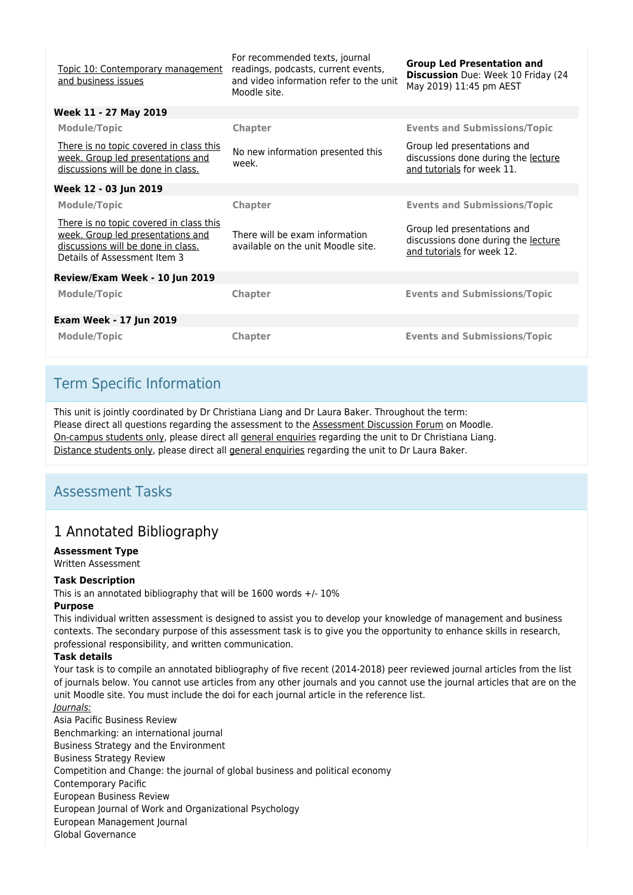| Topic 10: Contemporary management<br>and business issues                                                                                           | For recommended texts, journal<br>readings, podcasts, current events,<br>and video information refer to the unit<br>Moodle site. | <b>Group Led Presentation and</b><br>Discussion Due: Week 10 Friday (24<br>May 2019) 11:45 pm AEST |  |  |
|----------------------------------------------------------------------------------------------------------------------------------------------------|----------------------------------------------------------------------------------------------------------------------------------|----------------------------------------------------------------------------------------------------|--|--|
| Week 11 - 27 May 2019                                                                                                                              |                                                                                                                                  |                                                                                                    |  |  |
| <b>Module/Topic</b>                                                                                                                                | <b>Chapter</b>                                                                                                                   | <b>Events and Submissions/Topic</b>                                                                |  |  |
| There is no topic covered in class this<br>week. Group led presentations and<br>discussions will be done in class.                                 | No new information presented this<br>week.                                                                                       | Group led presentations and<br>discussions done during the lecture<br>and tutorials for week 11.   |  |  |
| Week 12 - 03 Jun 2019                                                                                                                              |                                                                                                                                  |                                                                                                    |  |  |
| <b>Module/Topic</b>                                                                                                                                | <b>Chapter</b>                                                                                                                   | <b>Events and Submissions/Topic</b>                                                                |  |  |
| There is no topic covered in class this<br>week. Group led presentations and<br>discussions will be done in class.<br>Details of Assessment Item 3 | There will be exam information<br>available on the unit Moodle site.                                                             | Group led presentations and<br>discussions done during the lecture<br>and tutorials for week 12.   |  |  |
| Review/Exam Week - 10 Jun 2019                                                                                                                     |                                                                                                                                  |                                                                                                    |  |  |
| <b>Module/Topic</b>                                                                                                                                | Chapter                                                                                                                          | <b>Events and Submissions/Topic</b>                                                                |  |  |
| <b>Exam Week - 17 Jun 2019</b>                                                                                                                     |                                                                                                                                  |                                                                                                    |  |  |
| <b>Module/Topic</b>                                                                                                                                | Chapter                                                                                                                          | <b>Events and Submissions/Topic</b>                                                                |  |  |

## Term Specific Information

This unit is jointly coordinated by Dr Christiana Liang and Dr Laura Baker. Throughout the term: Please direct all questions regarding the assessment to the Assessment Discussion Forum on Moodle. On-campus students only, please direct all general enquiries regarding the unit to Dr Christiana Liang. Distance students only, please direct all general enquiries regarding the unit to Dr Laura Baker.

## Assessment Tasks

## 1 Annotated Bibliography

### **Assessment Type**

Written Assessment

### **Task Description**

This is an annotated bibliography that will be 1600 words  $+/-10\%$ 

### **Purpose**

This individual written assessment is designed to assist you to develop your knowledge of management and business contexts. The secondary purpose of this assessment task is to give you the opportunity to enhance skills in research, professional responsibility, and written communication.

### **Task details**

Your task is to compile an annotated bibliography of five recent (2014-2018) peer reviewed journal articles from the list of journals below. You cannot use articles from any other journals and you cannot use the journal articles that are on the unit Moodle site. You must include the doi for each journal article in the reference list. Journals:

Asia Pacific Business Review Benchmarking: an international journal Business Strategy and the Environment Business Strategy Review Competition and Change: the journal of global business and political economy Contemporary Pacific European Business Review European Journal of Work and Organizational Psychology European Management Journal Global Governance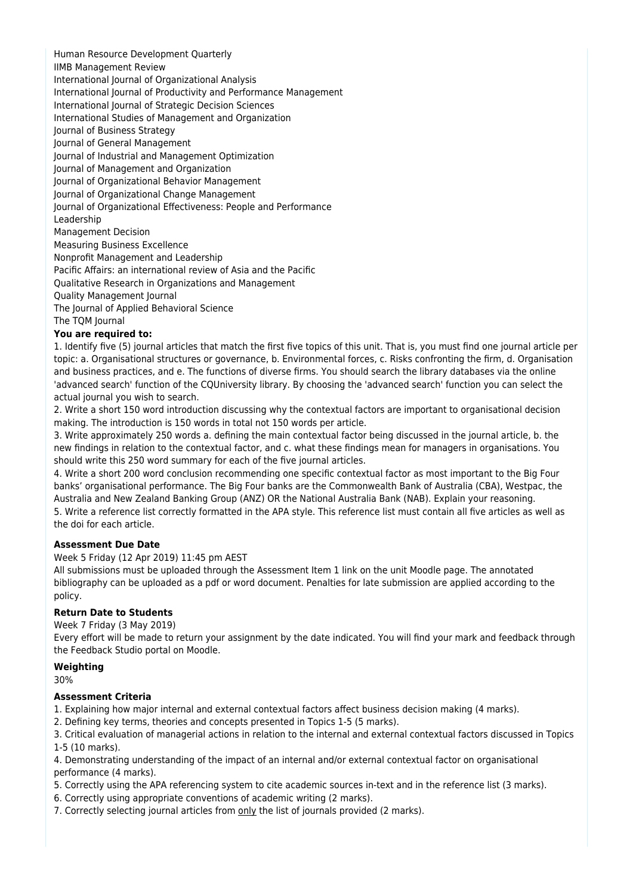Human Resource Development Quarterly

IIMB Management Review

International Journal of Organizational Analysis

International Journal of Productivity and Performance Management

International Journal of Strategic Decision Sciences

International Studies of Management and Organization

Journal of Business Strategy

Journal of General Management

Journal of Industrial and Management Optimization

Journal of Management and Organization

Journal of Organizational Behavior Management Journal of Organizational Change Management

Journal of Organizational Effectiveness: People and Performance

Leadership

Management Decision

Measuring Business Excellence

Nonprofit Management and Leadership

Pacific Affairs: an international review of Asia and the Pacific

Qualitative Research in Organizations and Management

Quality Management Journal

The Journal of Applied Behavioral Science

The TQM Journal

### **You are required to:**

1. Identify five (5) journal articles that match the first five topics of this unit. That is, you must find one journal article per topic: a. Organisational structures or governance, b. Environmental forces, c. Risks confronting the firm, d. Organisation and business practices, and e. The functions of diverse firms. You should search the library databases via the online 'advanced search' function of the CQUniversity library. By choosing the 'advanced search' function you can select the actual journal you wish to search.

2. Write a short 150 word introduction discussing why the contextual factors are important to organisational decision making. The introduction is 150 words in total not 150 words per article.

3. Write approximately 250 words a. defining the main contextual factor being discussed in the journal article, b. the new findings in relation to the contextual factor, and c. what these findings mean for managers in organisations. You should write this 250 word summary for each of the five journal articles.

4. Write a short 200 word conclusion recommending one specific contextual factor as most important to the Big Four banks' organisational performance. The Big Four banks are the Commonwealth Bank of Australia (CBA), Westpac, the Australia and New Zealand Banking Group (ANZ) OR the National Australia Bank (NAB). Explain your reasoning.

5. Write a reference list correctly formatted in the APA style. This reference list must contain all five articles as well as the doi for each article.

### **Assessment Due Date**

Week 5 Friday (12 Apr 2019) 11:45 pm AEST

All submissions must be uploaded through the Assessment Item 1 link on the unit Moodle page. The annotated bibliography can be uploaded as a pdf or word document. Penalties for late submission are applied according to the policy.

### **Return Date to Students**

Week 7 Friday (3 May 2019)

Every effort will be made to return your assignment by the date indicated. You will find your mark and feedback through the Feedback Studio portal on Moodle.

### **Weighting**

30%

### **Assessment Criteria**

1. Explaining how major internal and external contextual factors affect business decision making (4 marks).

2. Defining key terms, theories and concepts presented in Topics 1-5 (5 marks).

3. Critical evaluation of managerial actions in relation to the internal and external contextual factors discussed in Topics 1-5 (10 marks).

4. Demonstrating understanding of the impact of an internal and/or external contextual factor on organisational performance (4 marks).

- 5. Correctly using the APA referencing system to cite academic sources in-text and in the reference list (3 marks).
- 6. Correctly using appropriate conventions of academic writing (2 marks).
- 7. Correctly selecting journal articles from only the list of journals provided (2 marks).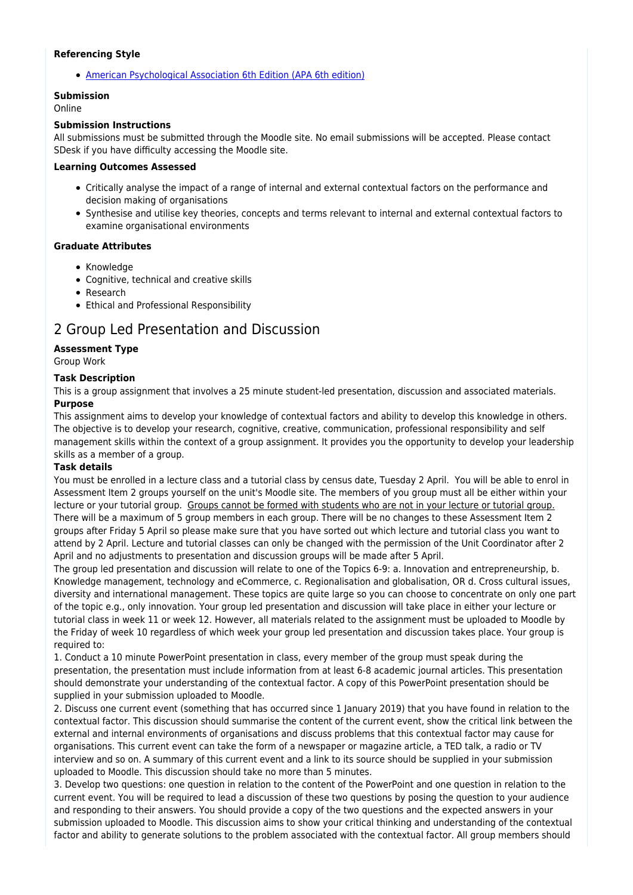#### **Referencing Style**

[American Psychological Association 6th Edition \(APA 6th edition\)](https://sportal.cqu.edu.au/__data/assets/pdf_file/0026/107684/APA_Referencing_Guide-2019.pdf)

### **Submission**

Online

#### **Submission Instructions**

All submissions must be submitted through the Moodle site. No email submissions will be accepted. Please contact SDesk if you have difficulty accessing the Moodle site.

#### **Learning Outcomes Assessed**

- Critically analyse the impact of a range of internal and external contextual factors on the performance and decision making of organisations
- Synthesise and utilise key theories, concepts and terms relevant to internal and external contextual factors to examine organisational environments

### **Graduate Attributes**

- Knowledge
- Cognitive, technical and creative skills
- Research
- Ethical and Professional Responsibility

## 2 Group Led Presentation and Discussion

### **Assessment Type**

Group Work

### **Task Description**

This is a group assignment that involves a 25 minute student-led presentation, discussion and associated materials. **Purpose**

This assignment aims to develop your knowledge of contextual factors and ability to develop this knowledge in others. The objective is to develop your research, cognitive, creative, communication, professional responsibility and self management skills within the context of a group assignment. It provides you the opportunity to develop your leadership skills as a member of a group.

### **Task details**

You must be enrolled in a lecture class and a tutorial class by census date, Tuesday 2 April. You will be able to enrol in Assessment Item 2 groups yourself on the unit's Moodle site. The members of you group must all be either within your lecture or your tutorial group. Groups cannot be formed with students who are not in your lecture or tutorial group. There will be a maximum of 5 group members in each group. There will be no changes to these Assessment Item 2 groups after Friday 5 April so please make sure that you have sorted out which lecture and tutorial class you want to attend by 2 April. Lecture and tutorial classes can only be changed with the permission of the Unit Coordinator after 2 April and no adjustments to presentation and discussion groups will be made after 5 April.

The group led presentation and discussion will relate to one of the Topics 6-9: a. Innovation and entrepreneurship, b. Knowledge management, technology and eCommerce, c. Regionalisation and globalisation, OR d. Cross cultural issues, diversity and international management. These topics are quite large so you can choose to concentrate on only one part of the topic e.g., only innovation. Your group led presentation and discussion will take place in either your lecture or tutorial class in week 11 or week 12. However, all materials related to the assignment must be uploaded to Moodle by the Friday of week 10 regardless of which week your group led presentation and discussion takes place. Your group is required to:

1. Conduct a 10 minute PowerPoint presentation in class, every member of the group must speak during the presentation, the presentation must include information from at least 6-8 academic journal articles. This presentation should demonstrate your understanding of the contextual factor. A copy of this PowerPoint presentation should be supplied in your submission uploaded to Moodle.

2. Discuss one current event (something that has occurred since 1 January 2019) that you have found in relation to the contextual factor. This discussion should summarise the content of the current event, show the critical link between the external and internal environments of organisations and discuss problems that this contextual factor may cause for organisations. This current event can take the form of a newspaper or magazine article, a TED talk, a radio or TV interview and so on. A summary of this current event and a link to its source should be supplied in your submission uploaded to Moodle. This discussion should take no more than 5 minutes.

3. Develop two questions: one question in relation to the content of the PowerPoint and one question in relation to the current event. You will be required to lead a discussion of these two questions by posing the question to your audience and responding to their answers. You should provide a copy of the two questions and the expected answers in your submission uploaded to Moodle. This discussion aims to show your critical thinking and understanding of the contextual factor and ability to generate solutions to the problem associated with the contextual factor. All group members should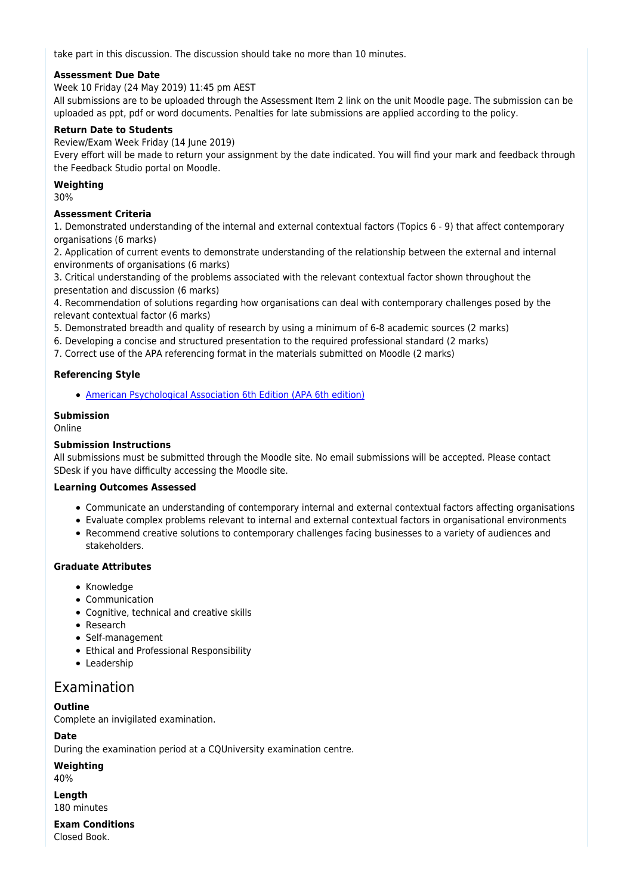take part in this discussion. The discussion should take no more than 10 minutes.

### **Assessment Due Date**

Week 10 Friday (24 May 2019) 11:45 pm AEST

All submissions are to be uploaded through the Assessment Item 2 link on the unit Moodle page. The submission can be uploaded as ppt, pdf or word documents. Penalties for late submissions are applied according to the policy.

### **Return Date to Students**

Review/Exam Week Friday (14 June 2019)

Every effort will be made to return your assignment by the date indicated. You will find your mark and feedback through the Feedback Studio portal on Moodle.

#### **Weighting**

30%

### **Assessment Criteria**

1. Demonstrated understanding of the internal and external contextual factors (Topics 6 - 9) that affect contemporary organisations (6 marks)

2. Application of current events to demonstrate understanding of the relationship between the external and internal environments of organisations (6 marks)

3. Critical understanding of the problems associated with the relevant contextual factor shown throughout the presentation and discussion (6 marks)

4. Recommendation of solutions regarding how organisations can deal with contemporary challenges posed by the relevant contextual factor (6 marks)

5. Demonstrated breadth and quality of research by using a minimum of 6-8 academic sources (2 marks)

- 6. Developing a concise and structured presentation to the required professional standard (2 marks)
- 7. Correct use of the APA referencing format in the materials submitted on Moodle (2 marks)

### **Referencing Style**

[American Psychological Association 6th Edition \(APA 6th edition\)](https://sportal.cqu.edu.au/__data/assets/pdf_file/0026/107684/APA_Referencing_Guide-2019.pdf)

### **Submission**

Online

### **Submission Instructions**

All submissions must be submitted through the Moodle site. No email submissions will be accepted. Please contact SDesk if you have difficulty accessing the Moodle site.

#### **Learning Outcomes Assessed**

- Communicate an understanding of contemporary internal and external contextual factors affecting organisations
- Evaluate complex problems relevant to internal and external contextual factors in organisational environments
- Recommend creative solutions to contemporary challenges facing businesses to a variety of audiences and stakeholders.

### **Graduate Attributes**

- Knowledge
- Communication
- Cognitive, technical and creative skills
- Research
- Self-management
- Ethical and Professional Responsibility
- Leadership

### Examination

### **Outline**

Complete an invigilated examination.

**Date**

During the examination period at a CQUniversity examination centre.

**Weighting**

40%

**Length** 180 minutes

**Exam Conditions** Closed Book.